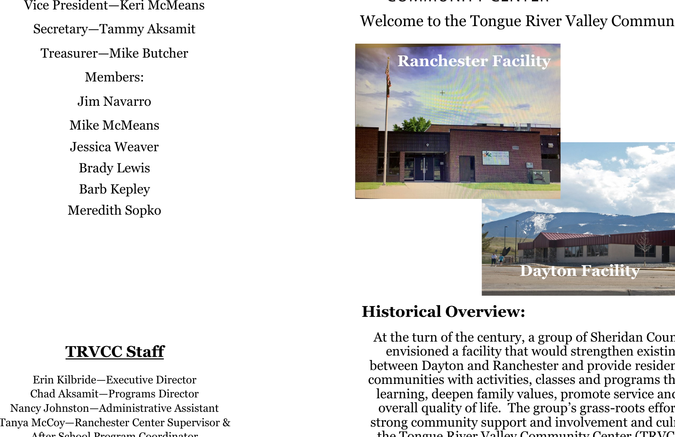Vice President—Keri McMeans Secretary—Tammy Aksamit Treasurer—Mike Butcher Members: Jim Navarro Mike McMeans Jessica Weaver

> Brady Lewis Barb Kepley Meredith Sopko

Welcome to the Tongue River Valley Commun



#### **TRVCC Staff**

Erin Kilbride—Executive Director Chad Aksamit—Programs Director Nancy Johnston—Administrative Assistant Tanya McCoy—Ranchester Center Supervisor & After School Program Coordinator

# **Historical Overview:**

At the turn of the century, a group of Sheridan Cour envisioned a facility that would strengthen existing between Dayton and Ranchester and provide resider communities with activities, classes and programs that learning, deepen family values, promote service and overall quality of life. The group's grass-roots effor strong community support and involvement and culthe Tongue River Valley Community Center (TRVC)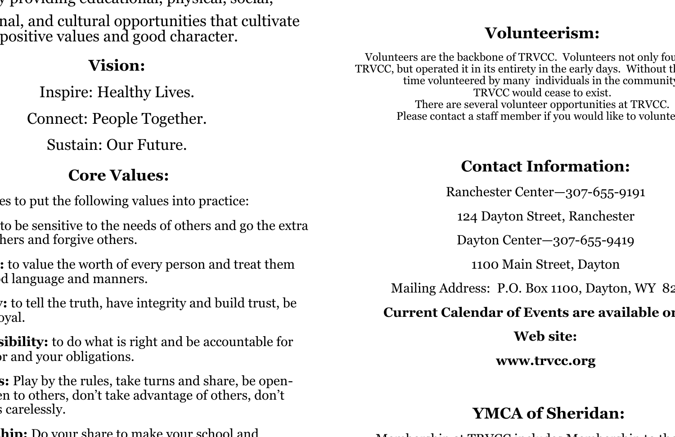$\gamma$  providing cuacational, physical, social,

nal, and cultural opportunities that cultivate positive values and good character.

#### **Vision:**

Inspire: Healthy Lives.

Connect: People Together.

Sustain: Our Future.

# **Core Values:**

es to put the following values into practice:

**Caring:** to be sensitive to the needs of others and go the extra hers and forgive others.

**Respectively** to value the worth of every person and treat them d language and manners.

**Henesty:** to tell the truth, have integrity and build trust, be oval.

**sibility:** to do what is right and be accountable for r and your obligations.

**Farther** is: **Play** by the rules, take turns and share, be openen to others, don't take advantage of others, don't s carelessly.

**hin** Do your share to make your school and

## **Volunteerism:**

Volunteers are the backbone of TRVCC. Volunteers not only found TRVCC, but operated it in its entirety in the early days. Without the time volunteered by many individuals in the community TRVCC would cease to exist. There are several volunteer opportunities at TRVCC. Please contact a staff member if you would like to volunte

### **Contact Information:**

Ranchester Center—307-655-9191

124 Dayton Street, Ranchester

Dayton Center—307-655-9419

1100 Main Street, Dayton

Mailing Address: P.O. Box 1100, Dayton, WY 82

#### **Current Calendar of Events are available on**

**Web site:**

**www.trvcc.org** 

# **YMCA of Sheridan:**

Membership at TRVCC includes Membership to the YMCA.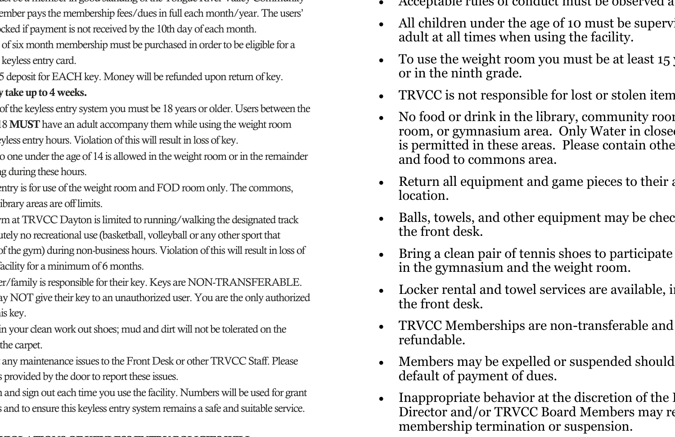- Each user must be a member in good standing of the Tongue River Valley Community ember pays the membership fees/dues in full each month/year. The users' cked if payment is not received by the 10th day of each month.
- of six month membership must be purchased in order to be eligible for a keyless entry card.
- 5 deposit for EACH key. Money will be refunded upon return of key. y take up to 4 weeks.
- of the keyless entry system you must be 18 years or older. Users between the 18 MUST have an adult accompany them while using the weight room tyless entry hours. Violation of this will result in loss of key.
- o one under the age of 14 is allowed in the weight room or in the remainder g during these hours.
- entry is for use of the weight room and FOD room only. The commons, ibrary areas are off limits.
- m at TRVCC Dayton is limited to running/walking the designated track ttely no recreational use (basketball, volleyball or any other sport that of the gym) during non-business hours. Violation of this will result in loss of facility for a minimum of 6 months.
- er/family is responsible for their key. Keys are NON-TRANSFERABLE. ay NOT give their key to an unauthorized user. You are the only authorized is key.
- in your clean work out shoes; mud and dirt will not be tolerated on the the carpet.
- any maintenance issues to the Front Desk or other TRVCC Staff. Please is provided by the door to report these issues.
- i and sign out each time you use the facility. Numbers will be used for grant s and to ensure this keyless entry system remains a safe and suitable service.

#### VIOLATIONS OF KEYLESS ENTRY POLICIES WILL

- Acceptable rules of conduct must be observed a
- All children under the age of 10 must be superviadult at all times when using the facility.
- To use the weight room you must be at least  $15$ or in the ninth grade.
- TRVCC is not responsible for lost or stolen item
- No food or drink in the library, community room room, or gymnasium area. Only Water in close is permitted in these areas. Please contain other and food to commons area.
- Return all equipment and game pieces to their a location.
- Balls, towels, and other equipment may be checked. the front desk.
- Bring a clean pair of tennis shoes to participate in the gymnasium and the weight room.
- Locker rental and towel services are available, in the front desk.
- TRVCC Memberships are non-transferable and refundable.
- Members may be expelled or suspended should default of payment of dues.
- Inappropriate behavior at the discretion of the I Director and/or TRVCC Board Members may re membership termination or suspension.